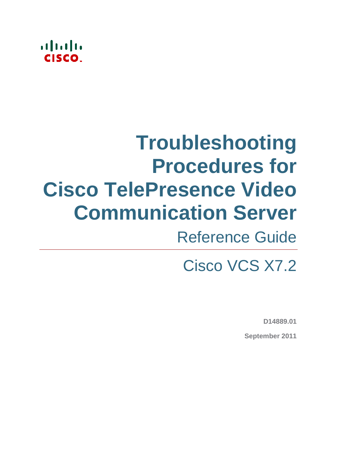## $\ddotsc$ CISCO

# **Troubleshooting Procedures for Cisco TelePresence Video Communication Server**

# Reference Guide

# Cisco VCS X7.2

**D14889.01**

**September 2011**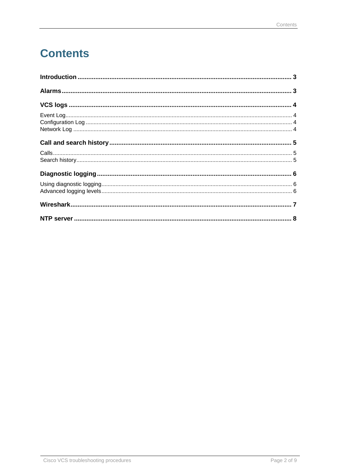## **Contents**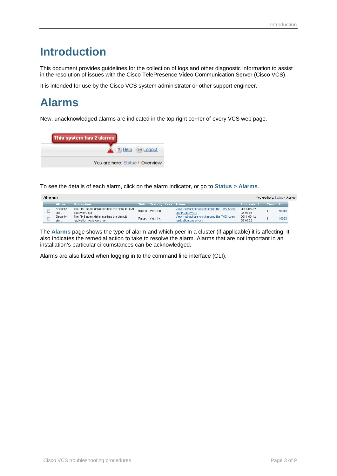## <span id="page-2-0"></span>**Introduction**

This document provides guidelines for the collection of logs and other diagnostic information to assist in the resolution of issues with the Cisco TelePresence Video Communication Server (Cisco VCS).

<span id="page-2-1"></span>It is intended for use by the Cisco VCS system administrator or other support engineer.

## **Alarms**

New, unacknowledged alarms are indicated in the top right corner of every VCS web page.

| This system has 2 alarms        |
|---------------------------------|
| 4 (?) Help (a) Logout           |
| You are here: Status ▶ Overview |

To see the details of each alarm, click on the alarm indicator, or go to **Status > Alarms**.

| Alarms<br>You are here: Status > Alarms |                   |                                                                    |  |                            |  |                                                                     |                        |          |       |  |  |
|-----------------------------------------|-------------------|--------------------------------------------------------------------|--|----------------------------|--|---------------------------------------------------------------------|------------------------|----------|-------|--|--|
|                                         | / Alarm .         | <b>Description</b>                                                 |  | State Severity Peer Action |  |                                                                     | Time raised            | Count ID |       |  |  |
|                                         | Security<br>alert | The TMS agent database has the default LDAP<br>password set        |  | Raised Warning             |  | View instructions on changing the TMS Agent<br>LDAP password        | 2011-08-12<br>08:40:15 |          | 40010 |  |  |
|                                         | Security<br>alert | The TMS agent database has the default<br>replication password set |  | Raised Warning             |  | View instructions on changing the TMS Agent<br>replication password | 2011-08-12<br>08:40:32 |          | 40023 |  |  |

The **Alarms** page shows the type of alarm and which peer in a cluster (if applicable) it is affecting. It also indicates the remedial action to take to resolve the alarm. Alarms that are not important in an installation's particular circumstances can be acknowledged.

Alarms are also listed when logging in to the command line interface (CLI).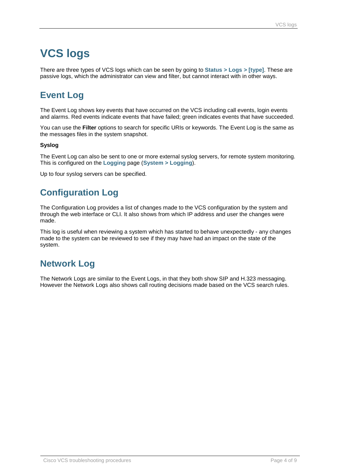## <span id="page-3-0"></span>**VCS logs**

There are three types of VCS logs which can be seen by going to **Status > Logs > [type]**. These are passive logs, which the administrator can view and filter, but cannot interact with in other ways.

### <span id="page-3-1"></span>**Event Log**

The Event Log shows key events that have occurred on the VCS including call events, login events and alarms. Red events indicate events that have failed; green indicates events that have succeeded.

You can use the **Filter** options to search for specific URIs or keywords. The Event Log is the same as the messages files in the system snapshot.

#### **Syslog**

The Event Log can also be sent to one or more external syslog servers, for remote system monitoring. This is configured on the **Logging** page (**System > Logging**).

<span id="page-3-2"></span>Up to four syslog servers can be specified.

#### **Configuration Log**

The Configuration Log provides a list of changes made to the VCS configuration by the system and through the web interface or CLI. It also shows from which IP address and user the changes were made.

This log is useful when reviewing a system which has started to behave unexpectedly - any changes made to the system can be reviewed to see if they may have had an impact on the state of the system.

#### <span id="page-3-3"></span>**Network Log**

The Network Logs are similar to the Event Logs, in that they both show SIP and H.323 messaging. However the Network Logs also shows call routing decisions made based on the VCS search rules.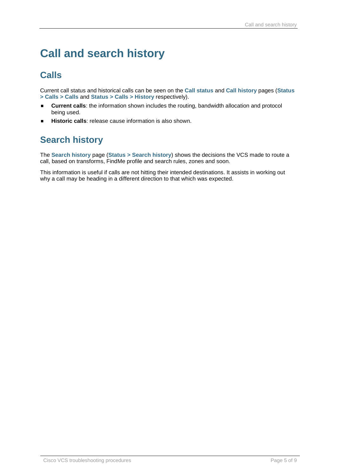## <span id="page-4-0"></span>**Call and search history**

### <span id="page-4-1"></span>**Calls**

Current call status and historical calls can be seen on the **Call status** and **Call history** pages (**Status > Calls > Calls** and **Status > Calls > History** respectively).

- **Current calls**: the information shown includes the routing, bandwidth allocation and protocol being used.
- <span id="page-4-2"></span>**Historic calls**: release cause information is also shown.

### **Search history**

The **Search history** page (**Status > Search history**) shows the decisions the VCS made to route a call, based on transforms, FindMe profile and search rules, zones and soon.

This information is useful if calls are not hitting their intended destinations. It assists in working out why a call may be heading in a different direction to that which was expected.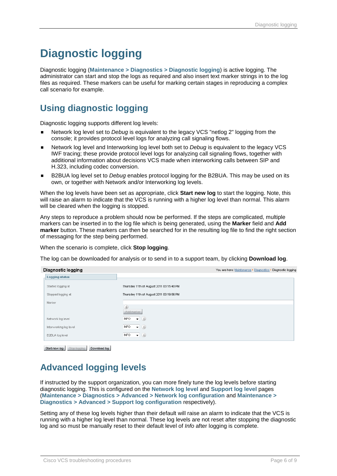## <span id="page-5-0"></span>**Diagnostic logging**

Diagnostic logging (**Maintenance > Diagnostics > Diagnostic logging**) is active logging. The administrator can start and stop the logs as required and also insert text marker strings in to the log files as required. These markers can be useful for marking certain stages in reproducing a complex call scenario for example.

#### <span id="page-5-1"></span>**Using diagnostic logging**

Diagnostic logging supports different log levels:

- Network log level set to *Debug* is equivalent to the legacy VCS "netlog 2" logging from the console; it provides protocol level logs for analyzing call signaling flows.
- Network log level and Interworking log level both set to *Debug* is equivalent to the legacy VCS IWF tracing; these provide protocol level logs for analyzing call signaling flows, together with additional information about decisions VCS made when interworking calls between SIP and H.323, including codec conversion.
- B2BUA log level set to *Debug* enables protocol logging for the B2BUA. This may be used on its own, or together with Network and/or Interworking log levels.

When the log levels have been set as appropriate, click **Start new log** to start the logging. Note, this will raise an alarm to indicate that the VCS is running with a higher log level than normal. This alarm will be cleared when the logging is stopped.

Any steps to reproduce a problem should now be performed. If the steps are complicated, multiple markers can be inserted in to the log file which is being generated, using the **Marker** field and **Add marker** button. These markers can then be searched for in the resulting log file to find the right section of messaging for the step being performed.

When the scenario is complete, click **Stop logging**.

The log can be downloaded for analysis or to send in to a support team, by clicking **Download log**.

| Diagnostic logging     |                                          | You are here: Maintenance ▶ Diagnostics ▶ Diagnostic logging |
|------------------------|------------------------------------------|--------------------------------------------------------------|
| <b>Logging status</b>  |                                          |                                                              |
| Started logging at     | Thursday 11th of August 2011 03:15:40 PM |                                                              |
| Stopped logging at     | Thursday 11th of August 2011 03:19:56 PM |                                                              |
| Marker                 |                                          |                                                              |
|                        | L<br>Add marker                          |                                                              |
| Network log level      | <b>INFO</b><br>$ (i)$                    |                                                              |
| Interworking log level | $\bullet$ (i)<br>INFO.                   |                                                              |
| B2BUA log level        | $\bullet$ (i)<br>INFO.                   |                                                              |

<span id="page-5-2"></span>Start new log Stop logging Download log

#### **Advanced logging levels**

If instructed by the support organization, you can more finely tune the log levels before starting diagnostic logging. This is configured on the **Network log level** and **Support log level** pages (**Maintenance > Diagnostics > Advanced > Network log configuration** and **Maintenance > Diagnostics > Advanced > Support log configuration** respectively).

Setting any of these log levels higher than their default will raise an alarm to indicate that the VCS is running with a higher log level than normal. These log levels are not reset after stopping the diagnostic log and so must be manually reset to their default level of *Info* after logging is complete.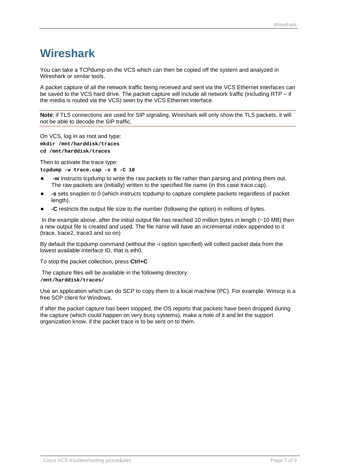## <span id="page-6-0"></span>**Wireshark**

You can take a TCPdump on the VCS which can then be copied off the system and analyzed in Wireshark or similar tools.

A packet capture of all the network traffic being received and sent via the VCS Ethernet interfaces can be saved to the VCS hard drive. The packet capture will include all network traffic (including RTP – if the media is routed via the VCS) seen by the VCS Ethernet interface.

**Note**: if TLS connections are used for SIP signaling, Wireshark will only show the TLS packets, it will not be able to decode the SIP traffic.

On VCS, log in as root and type: **mkdir /mnt/harddisk/traces cd /mnt/harddisk/traces**

Then to activate the trace type: **tcpdump -w trace.cap -s 0 -C 10**

- **-w** instructs tcpdump to write the raw packets to file rather than parsing and printing them out. The raw packets are (initially) written to the specified file name (in this case trace.cap).
- **-s** sets snaplen to 0 (which instructs tcpdump to capture complete packets regardless of packet length).
- **-C** restricts the output file size to the number (following the option) in millions of bytes.

In the example above, after the initial output file has reached 10 million bytes in length (~10 MB) then a new output file is created and used. The file name will have an incremental index appended to it (trace, trace2, trace3 and so on)

By default the tcpdump command (without the -i option specified) will collect packet data from the lowest available interface ID, that is eth0.

To stop the packet collection, press **Ctrl+C**

The capture files will be available in the following directory:

#### **/mnt/harddisk/traces/**

Use an application which can do SCP to copy them to a local machine (PC). For example, Winscp is a free SCP client for Windows.

If after the packet capture has been stopped, the OS reports that packets have been dropped during the capture (which could happen on very busy systems), make a note of it and let the support organization know, if the packet trace is to be sent on to them.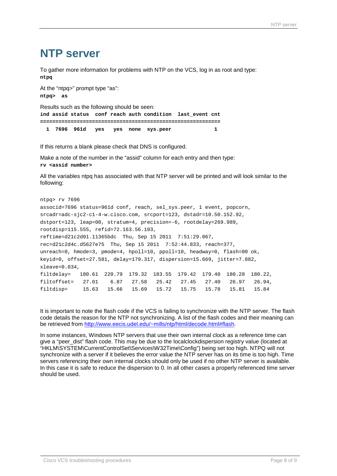### <span id="page-7-0"></span>**NTP server**

To gather more information for problems with NTP on the VCS, log in as root and type: **ntpq**

At the "ntpq>" prompt type "as": **ntpq> as** Results such as the following should be seen: **ind assid status conf reach auth condition last\_event cnt =========================================================== 1 7696 961d yes yes none sys.peer 1**

If this returns a blank please check that DNS is configured.

Make a note of the number in the "assid" column for each entry and then type: **rv <assid number>**

All the variables ntpq has associated with that NTP server will be printed and will look similar to the following:

```
ntpq> rv 7696
associd=7696 status=961d conf, reach, sel_sys.peer, 1 event, popcorn,
srcadr=adc-sjc2-c1-4-w.cisco.com, srcport=123, dstadr=10.50.152.92,
dstport=123, leap=00, stratum=4, precision=-6, rootdelay=269.989,
rootdisp=115.555, refid=72.163.56.103,
reftime=d21c2d01.11365bdc Thu, Sep 15 2011 7:51:29.067,
rec=d21c2d4c.d5627e75 Thu, Sep 15 2011 7:52:44.833, reach=377,
unreach=0, hmode=3, pmode=4, hpoll=10, ppoll=10, headway=0, flash=00 ok,
keyid=0, offset=27.581, delay=179.317, dispersion=15.669, jitter=7.882,
xleave=0.034,
filtdelay= 180.61 220.79 179.32 183.55 179.42 179.40 180.28 180.22,
filtoffset= 27.01 6.87 27.58 25.42 27.45 27.40 26.97 26.94,
filtdisp= 15.63 15.66 15.69 15.72 15.75 15.78 15.81 15.84
```
It is important to note the flash code if the VCS is failing to synchronize with the NTP server. The flash code details the reason for the NTP not synchronizing. A list of the flash codes and their meaning can be retrieved from [http://www.eecis.udel.edu/~mills/ntp/html/decode.html#flash.](http://www.eecis.udel.edu/~mills/ntp/html/decode.html#flash)

In some instances, Windows NTP servers that use their own internal clock as a reference time can give a "peer\_dist" flash code. This may be due to the localclockdispersion registry value (located at "HKLM\SYSTEM\CurrentControlSet\Services\W32Time\Config") being set too high. NTPQ will not synchronize with a server if it believes the error value the NTP server has on its time is too high. Time servers referencing their own internal clocks should only be used if no other NTP server is available. In this case it is safe to reduce the dispersion to 0. In all other cases a properly referenced time server should be used.